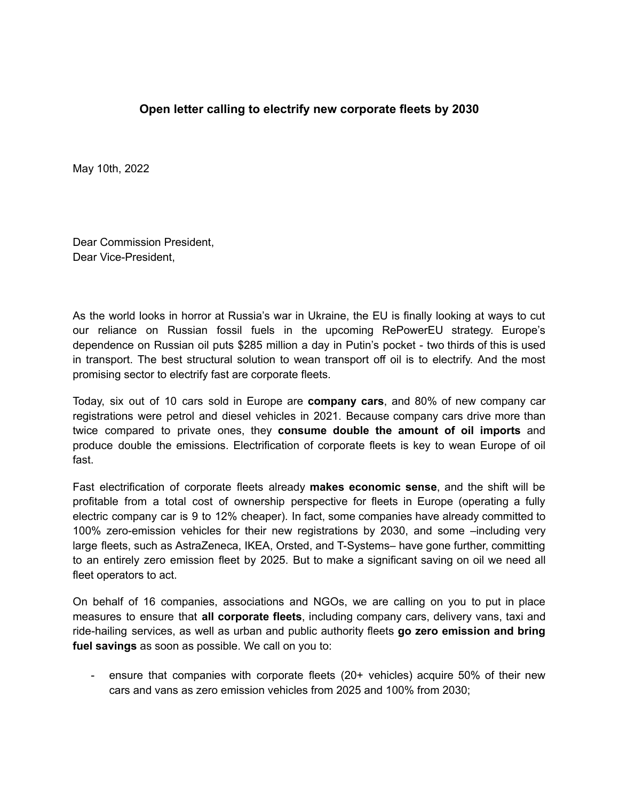## **Open letter calling to electrify new corporate fleets by 2030**

May 10th, 2022

Dear Commission President, Dear Vice-President,

As the world looks in horror at Russia's war in Ukraine, the EU is finally looking at ways to cut our reliance on Russian fossil fuels in the upcoming RePowerEU strategy. Europe's dependence on Russian oil puts \$285 million a day in Putin's pocket - two thirds of this is used in transport. The best structural solution to wean transport off oil is to electrify. And the most promising sector to electrify fast are corporate fleets.

Today, six out of 10 cars sold in Europe are **company cars**, and 80% of new company car registrations were petrol and diesel vehicles in 2021. Because company cars drive more than twice compared to private ones, they **consume double the amount of oil imports** and produce double the emissions. Electrification of corporate fleets is key to wean Europe of oil fast.

Fast electrification of corporate fleets already **makes economic sense**, and the shift will be profitable from a total cost of ownership perspective for fleets in Europe (operating a fully electric company car is 9 to 12% cheaper). In fact, some companies have already committed to 100% zero-emission vehicles for their new registrations by 2030, and some –including very large fleets, such as AstraZeneca, IKEA, Orsted, and T-Systems– have gone further, committing to an entirely zero emission fleet by 2025. But to make a significant saving on oil we need all fleet operators to act.

On behalf of 16 companies, associations and NGOs, we are calling on you to put in place measures to ensure that **all corporate fleets**, including company cars, delivery vans, taxi and ride-hailing services, as well as urban and public authority fleets **go zero emission and bring fuel savings** as soon as possible. We call on you to:

- ensure that companies with corporate fleets (20+ vehicles) acquire 50% of their new cars and vans as zero emission vehicles from 2025 and 100% from 2030;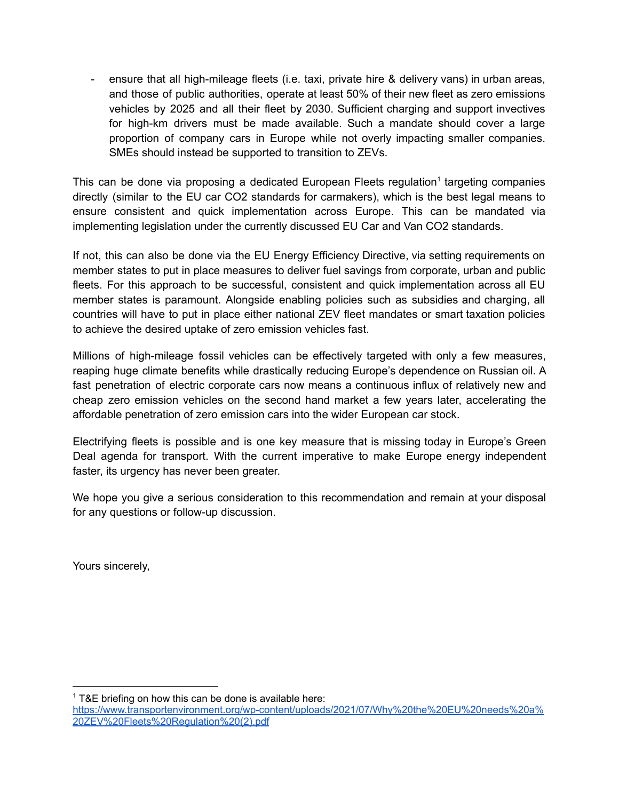- ensure that all high-mileage fleets (i.e. taxi, private hire & delivery vans) in urban areas, and those of public authorities, operate at least 50% of their new fleet as zero emissions vehicles by 2025 and all their fleet by 2030. Sufficient charging and support invectives for high-km drivers must be made available. Such a mandate should cover a large proportion of company cars in Europe while not overly impacting smaller companies. SMEs should instead be supported to transition to ZEVs.

This can be done via proposing a dedicated European Fleets regulation<sup>1</sup> targeting companies directly (similar to the EU car CO2 standards for carmakers), which is the best legal means to ensure consistent and quick implementation across Europe. This can be mandated via implementing legislation under the currently discussed EU Car and Van CO2 standards.

If not, this can also be done via the EU Energy Efficiency Directive, via setting requirements on member states to put in place measures to deliver fuel savings from corporate, urban and public fleets. For this approach to be successful, consistent and quick implementation across all EU member states is paramount. Alongside enabling policies such as subsidies and charging, all countries will have to put in place either national ZEV fleet mandates or smart taxation policies to achieve the desired uptake of zero emission vehicles fast.

Millions of high-mileage fossil vehicles can be effectively targeted with only a few measures, reaping huge climate benefits while drastically reducing Europe's dependence on Russian oil. A fast penetration of electric corporate cars now means a continuous influx of relatively new and cheap zero emission vehicles on the second hand market a few years later, accelerating the affordable penetration of zero emission cars into the wider European car stock.

Electrifying fleets is possible and is one key measure that is missing today in Europe's Green Deal agenda for transport. With the current imperative to make Europe energy independent faster, its urgency has never been greater.

We hope you give a serious consideration to this recommendation and remain at your disposal for any questions or follow-up discussion.

Yours sincerely,

 $1$  T&E briefing on how this can be done is available here:

[https://www.transportenvironment.org/wp-content/uploads/2021/07/Why%20the%20EU%20needs%20a%](https://www.transportenvironment.org/wp-content/uploads/2021/07/Why%20the%20EU%20needs%20a%20ZEV%20Fleets%20Regulation%20(2).pdf) [20ZEV%20Fleets%20Regulation%20\(2\).pdf](https://www.transportenvironment.org/wp-content/uploads/2021/07/Why%20the%20EU%20needs%20a%20ZEV%20Fleets%20Regulation%20(2).pdf)